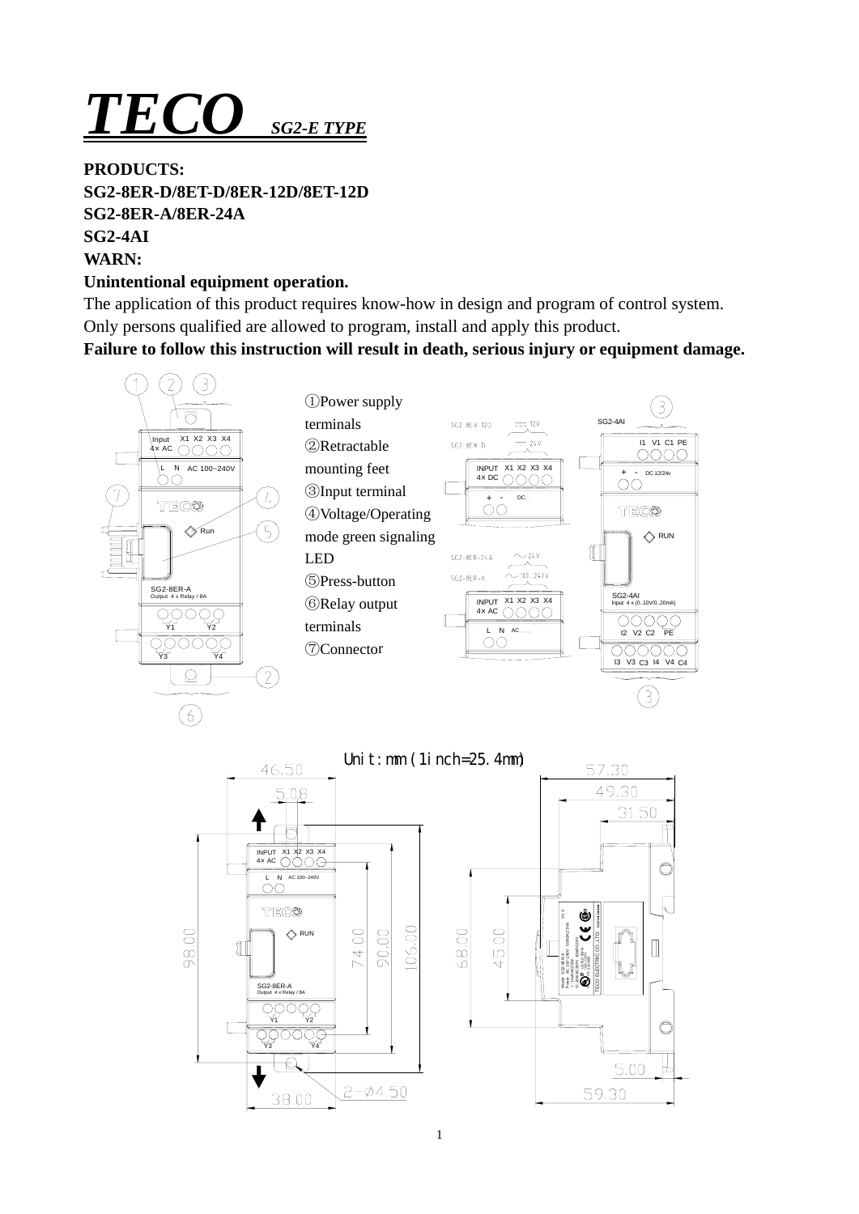# *TECO SG2-E TYPE*

### **PRODUCTS:**

**SG2-8ER-D/8ET-D/8ER-12D/8ET-12D SG2-8ER-A/8ER-24A SG2-4AI WARN:** 

# **Unintentional equipment operation.**

The application of this product requires know-how in design and program of control system. Only persons qualified are allowed to program, install and apply this product.

**Failure to follow this instruction will result in death, serious injury or equipment damage.** 





TECO ELECTRIC CO.,LTD.

49.30

31.50

C

 $\mathbb I$ 

 $\bigcirc$ 

L

5.00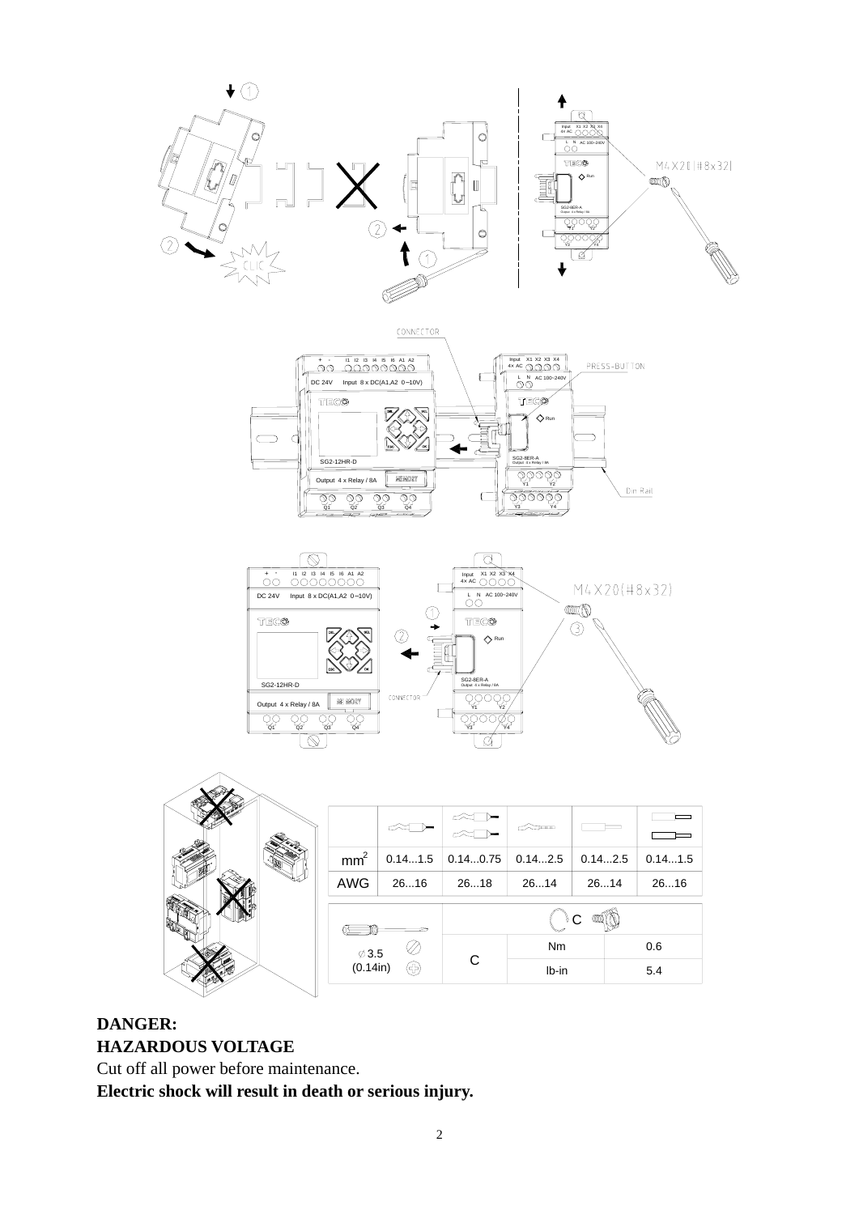





|  |                 |                   |         |          | $\sim$ mm |         |         |
|--|-----------------|-------------------|---------|----------|-----------|---------|---------|
|  |                 | mm <sup>2</sup>   | 0.141.5 | 0.140.75 | 0.142.5   | 0.142.5 | 0.141.5 |
|  |                 | AWG               | 2616    | 2618     | 2614      | 2614    | 2616    |
|  |                 |                   |         | ಿ ೧      |           |         |         |
|  |                 | $\varnothing$ 3.5 |         |          | Nm        |         | 0.6     |
|  | (0.14in)<br>(유) |                   | C       | lb-in    |           | 5.4     |         |
|  |                 |                   |         |          |           |         |         |

# **DANGER: HAZARDOUS VOLTAGE**

Cut off all power before maintenance.

**Electric shock will result in death or serious injury.**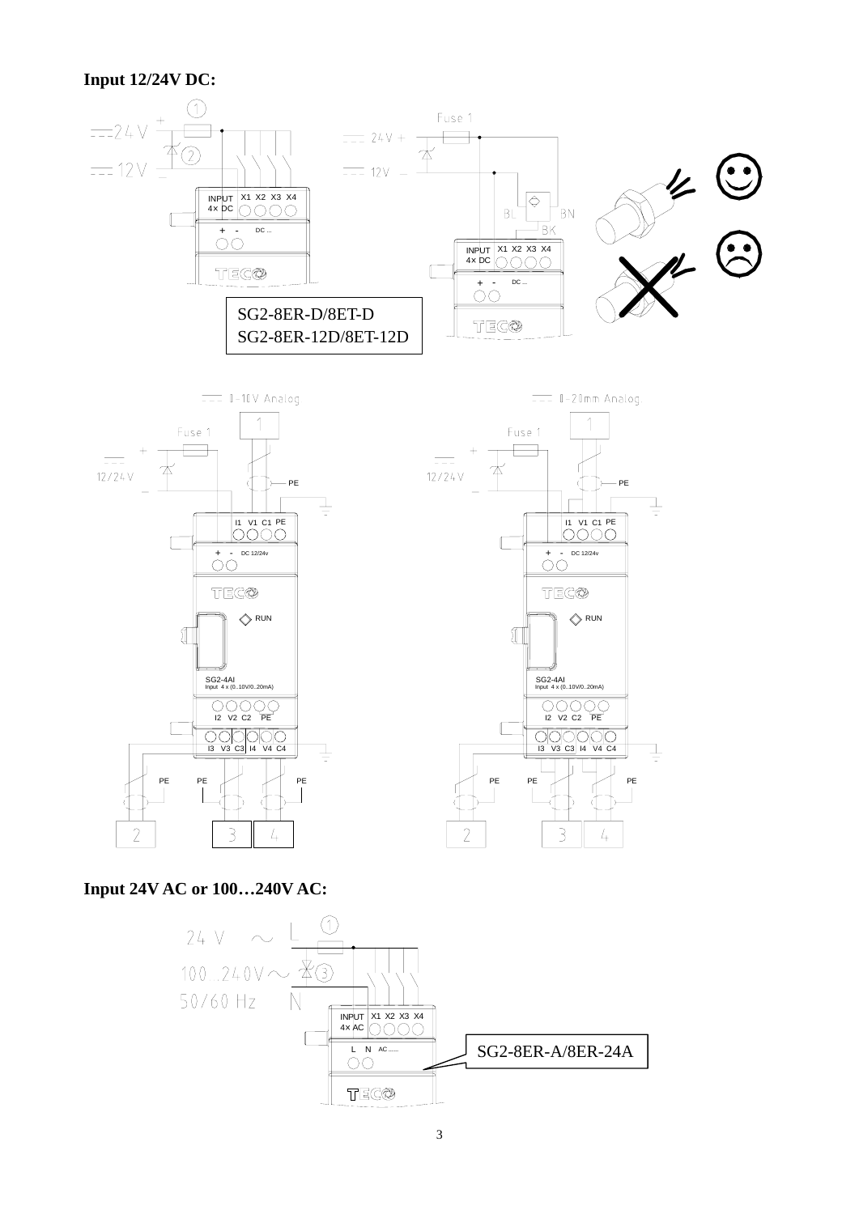#### **Input 12/24V DC:**



**Input 24V AC or 100…240V AC:**